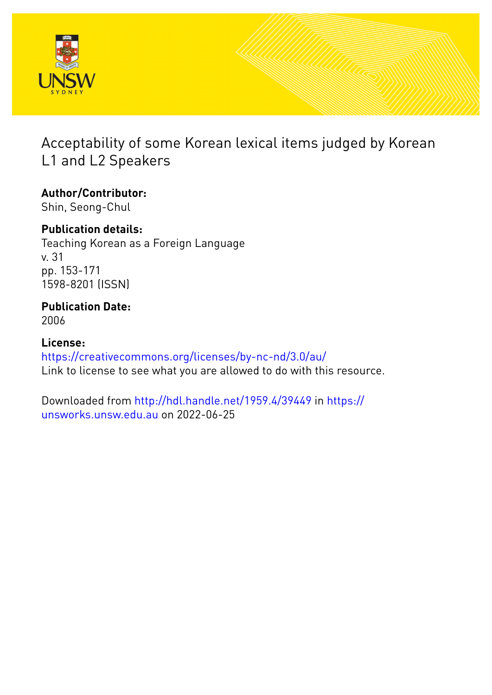

# Acceptability of some Korean lexical items judged by Korean L1 and L2 Speakers

**Author/Contributor:** Shin, Seong-Chul

# **Publication details:**

Teaching Korean as a Foreign Language v. 31 pp. 153-171 1598-8201 (ISSN)

# **Publication Date:** 2006

**License:** <https://creativecommons.org/licenses/by-nc-nd/3.0/au/> Link to license to see what you are allowed to do with this resource.

Downloaded from <http://hdl.handle.net/1959.4/39449> in [https://](https://unsworks.unsw.edu.au) [unsworks.unsw.edu.au](https://unsworks.unsw.edu.au) on 2022-06-25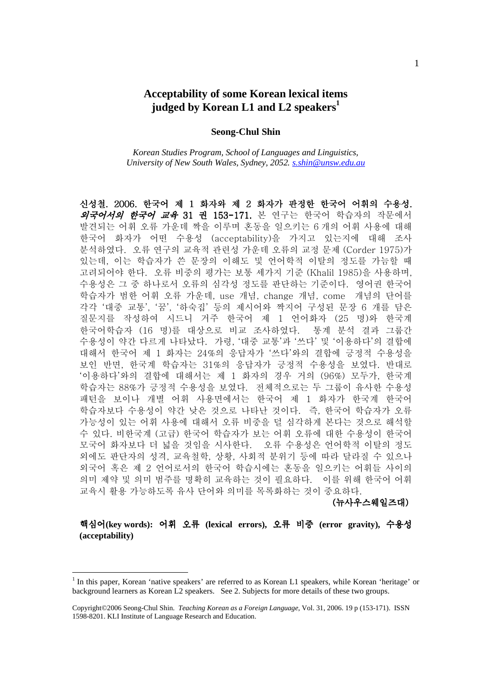## **Acceptability of some Korean lexical items judged by Korean L1 and L2 speakers<sup>1</sup>**

### **Seong-Chul Shin**

*Korean Studies Program, School of Languages and Linguistics, University of New South Wales, Sydney, 2052. s.shin@unsw.edu.au*

신성철. 2006. 한국어 제 1 화자와 제 2 화자가 판정한 한국어 어휘의 수용성. 의국어서의 한국어 교육 31 권 153-171. 본 연구는 한국어 학습자의 작문에서 발견되는 어휘 오류 가운데 짝을 이루며 혼동을 일으키는 6 개의 어휘 사용에 대해 한국어 화자가 어떤 수용성 (acceptability)을 가지고 있는지에 대해 조사 분석하였다. 오류 연구의 교육적 관련성 가운데 오류의 교정 문제 (Corder 1975)가 있는데, 이는 학습자가 쓴 문장의 이해도 및 언어학적 이탈의 정도를 가늠할 때 고려되어야 한다. 오류 비중의 평가는 보통 세가지 기준 (Khalil 1985)을 사용하며, 수용성은 그 중 하나로서 오류의 심각성 정도를 판단하는 기준이다. 영어권 한국어 학습자가 범한 어휘 오류 가운데, use 개념, change 개념, come 개념의 단어를 각각 '대중 교통', '꿈', '하숙집' 등의 제시어와 짝지어 구성된 문장 6 개를 담은 질문지를 작성하여 시드니 거주 한국어 제 1 언어화자 (25 명)와 한국계 한국어학습자 (16 명)를 대상으로 비교 조사하였다. 통계 분석 결과 그룹간 수용성이 약간 다르게 나타났다. 가령, '대중 교통'과 '쓰다' 및 '이용하다'의 결합에 대해서 한국어 제 1 화자는 24%의 응답자가 '쓰다'와의 결합에 긍정적 수용성을 보인 반면, 한국계 학습자는 31%의 응답자가 긍정적 수용성을 보였다. 반대로 '이용하다'와의 결합에 대해서는 제 1 화자의 경우 거의 (96%) 모두가, 한국계 학습자는 88%가 긍정적 수용성을 보였다. 전체적으로는 두 그룹이 유사한 수용성 패턴을 보이나 개별 어휘 사용면에서는 한국어 제 1 화자가 한국계 한국어 학습자보다 수용성이 약간 낮은 것으로 나타난 것이다. 즉, 한국어 학습자가 오류 가능성이 있는 어휘 사용에 대해서 오류 비중을 덜 심각하게 본다는 것으로 해석할 수 있다. 비한국계 (고급) 한국어 학습자가 보는 어휘 오류에 대한 수용성이 한국어 모국어 화자보다 더 넓을 것임을 시사한다. 오류 수용성은 언어학적 이탈의 정도 외에도 판단자의 성격, 교육철학, 상황, 사회적 분위기 등에 따라 달라질 수 있으나 외국어 혹은 제 2 언어로서의 한국어 학습시에는 혼동을 일으키는 어휘들 사이의 의미 제약 및 의미 범주를 명확히 교육하는 것이 필요하다. 이를 위해 한국어 어휘 교육시 활용 가능하도록 유사 단어와 의미를 목록화하는 것이 중요하다.

(뉴사우스웨일즈대)

핵심어**(key words):** 어휘 오류 **(lexical errors),** 오류 비중 **(error gravity),** 수용성 **(acceptability)** 

-

<sup>&</sup>lt;sup>1</sup> In this paper, Korean 'native speakers' are referred to as Korean L1 speakers, while Korean 'heritage' or background learners as Korean L2 speakers. See 2. Subjects for more details of these two groups.

Copyright©2006 Seong-Chul Shin. *Teaching Korean as a Foreign Language*, Vol. 31, 2006. 19 p (153-171). ISSN 1598-8201. KLI Institute of Language Research and Education.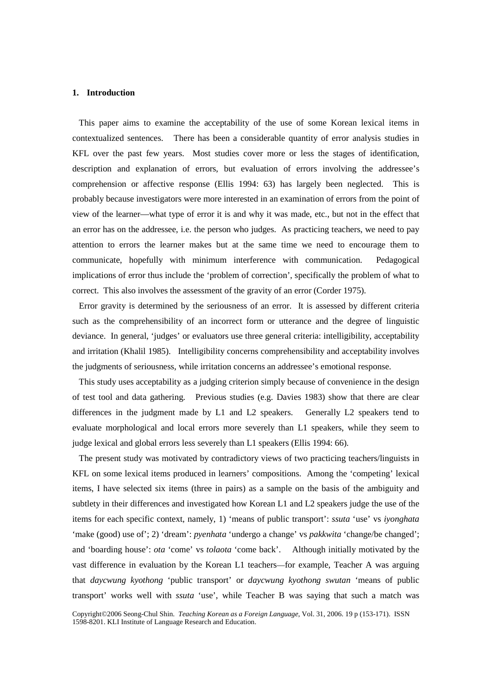#### **1. Introduction**

 This paper aims to examine the acceptability of the use of some Korean lexical items in contextualized sentences. There has been a considerable quantity of error analysis studies in KFL over the past few years. Most studies cover more or less the stages of identification, description and explanation of errors, but evaluation of errors involving the addressee's comprehension or affective response (Ellis 1994: 63) has largely been neglected. This is probably because investigators were more interested in an examination of errors from the point of view of the learner—what type of error it is and why it was made, etc., but not in the effect that an error has on the addressee, i.e. the person who judges. As practicing teachers, we need to pay attention to errors the learner makes but at the same time we need to encourage them to communicate, hopefully with minimum interference with communication. Pedagogical implications of error thus include the 'problem of correction', specifically the problem of what to correct. This also involves the assessment of the gravity of an error (Corder 1975).

 Error gravity is determined by the seriousness of an error. It is assessed by different criteria such as the comprehensibility of an incorrect form or utterance and the degree of linguistic deviance. In general, 'judges' or evaluators use three general criteria: intelligibility, acceptability and irritation (Khalil 1985). Intelligibility concerns comprehensibility and acceptability involves the judgments of seriousness, while irritation concerns an addressee's emotional response.

 This study uses acceptability as a judging criterion simply because of convenience in the design of test tool and data gathering. Previous studies (e.g. Davies 1983) show that there are clear differences in the judgment made by L1 and L2 speakers. Generally L2 speakers tend to evaluate morphological and local errors more severely than L1 speakers, while they seem to judge lexical and global errors less severely than L1 speakers (Ellis 1994: 66).

 The present study was motivated by contradictory views of two practicing teachers/linguists in KFL on some lexical items produced in learners' compositions. Among the 'competing' lexical items, I have selected six items (three in pairs) as a sample on the basis of the ambiguity and subtlety in their differences and investigated how Korean L1 and L2 speakers judge the use of the items for each specific context, namely, 1) 'means of public transport': *ssuta* 'use' vs *iyonghata* 'make (good) use of'; 2) 'dream': *pyenhata* 'undergo a change' vs *pakkwita* 'change/be changed'; and 'boarding house': *ota* 'come' vs *tolaota* 'come back'. Although initially motivated by the vast difference in evaluation by the Korean L1 teachers—for example, Teacher A was arguing that *daycwung kyothong* 'public transport' or *daycwung kyothong swutan* 'means of public transport' works well with *ssuta* 'use', while Teacher B was saying that such a match was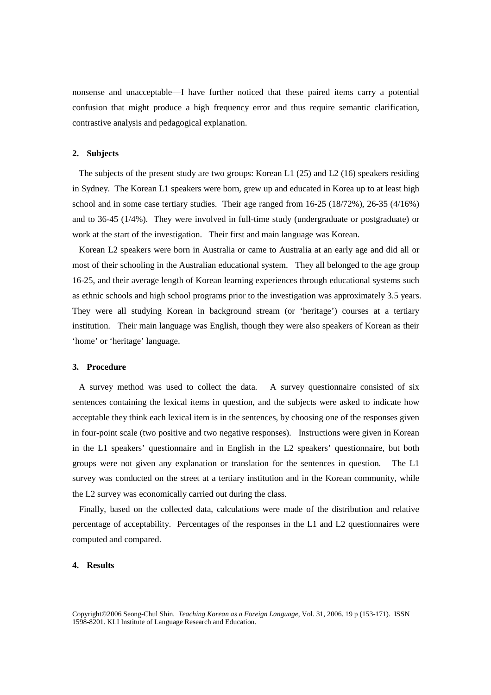nonsense and unacceptable—I have further noticed that these paired items carry a potential confusion that might produce a high frequency error and thus require semantic clarification, contrastive analysis and pedagogical explanation.

#### **2. Subjects**

 The subjects of the present study are two groups: Korean L1 (25) and L2 (16) speakers residing in Sydney. The Korean L1 speakers were born, grew up and educated in Korea up to at least high school and in some case tertiary studies. Their age ranged from 16-25 (18/72%), 26-35 (4/16%) and to 36-45 (1/4%). They were involved in full-time study (undergraduate or postgraduate) or work at the start of the investigation. Their first and main language was Korean.

 Korean L2 speakers were born in Australia or came to Australia at an early age and did all or most of their schooling in the Australian educational system. They all belonged to the age group 16-25, and their average length of Korean learning experiences through educational systems such as ethnic schools and high school programs prior to the investigation was approximately 3.5 years. They were all studying Korean in background stream (or 'heritage') courses at a tertiary institution. Their main language was English, though they were also speakers of Korean as their 'home' or 'heritage' language.

#### **3. Procedure**

 A survey method was used to collect the data. A survey questionnaire consisted of six sentences containing the lexical items in question, and the subjects were asked to indicate how acceptable they think each lexical item is in the sentences, by choosing one of the responses given in four-point scale (two positive and two negative responses). Instructions were given in Korean in the L1 speakers' questionnaire and in English in the L2 speakers' questionnaire, but both groups were not given any explanation or translation for the sentences in question. The L1 survey was conducted on the street at a tertiary institution and in the Korean community, while the L2 survey was economically carried out during the class.

 Finally, based on the collected data, calculations were made of the distribution and relative percentage of acceptability. Percentages of the responses in the L1 and L2 questionnaires were computed and compared.

#### **4. Results**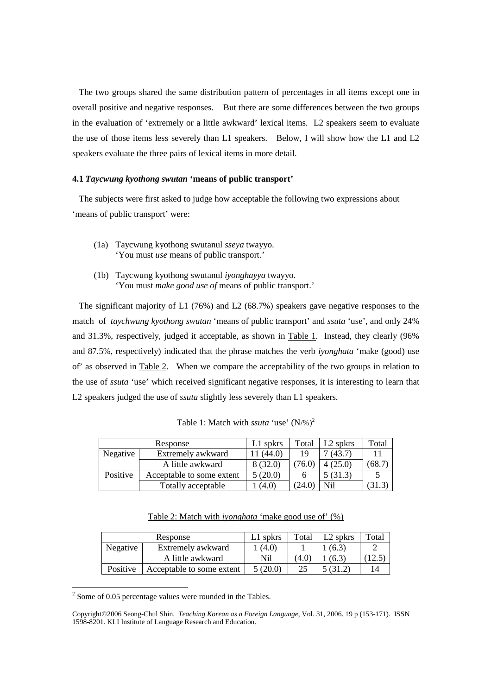The two groups shared the same distribution pattern of percentages in all items except one in overall positive and negative responses. But there are some differences between the two groups in the evaluation of 'extremely or a little awkward' lexical items. L2 speakers seem to evaluate the use of those items less severely than L1 speakers. Below, I will show how the L1 and L2 speakers evaluate the three pairs of lexical items in more detail.

#### **4.1** *Taycwung kyothong swutan* **'means of public transport'**

 The subjects were first asked to judge how acceptable the following two expressions about 'means of public transport' were:

- (1a) Taycwung kyothong swutanul *sseya* twayyo. 'You must *use* means of public transport.'
- (1b) Taycwung kyothong swutanul *iyonghayya* twayyo. 'You must *make good use of* means of public transport.'

 The significant majority of L1 (76%) and L2 (68.7%) speakers gave negative responses to the match of *taychwung kyothong swutan* 'means of public transport' and *ssuta* 'use', and only 24% and 31.3%, respectively, judged it acceptable, as shown in Table 1. Instead, they clearly (96% and 87.5%, respectively) indicated that the phrase matches the verb *iyonghata* 'make (good) use of' as observed in Table 2. When we compare the acceptability of the two groups in relation to the use of *ssuta* 'use' which received significant negative responses, it is interesting to learn that L2 speakers judged the use of *ssuta* slightly less severely than L1 speakers.

| Response |                           | $L1$ spkrs | Total  | $L2$ spkrs | Total |
|----------|---------------------------|------------|--------|------------|-------|
| Negative | Extremely awkward         | (44.0)     | 19     | (43.7)     |       |
|          | A little awkward          | 8(32.0)    | 76.0)  | 4(25.0)    | 68.7  |
| Positive | Acceptable to some extent | 5(20.0)    |        | 5(31.3)    |       |
|          | Totally acceptable        | (4.0)      | (24.0) | Nil        |       |

Table 1: Match with *ssuta* 'use' (N/%)<sup>2</sup>

Table 2: Match with *iyonghata* 'make good use of' (%)

| Response |                           | L1 spkrs | Total | $L2$ spkrs | Total |
|----------|---------------------------|----------|-------|------------|-------|
| Negative | Extremely awkward         | (4.0)    |       | (6.3)      |       |
|          | A little awkward          | Nil      | (4.0  | (6.3)      |       |
| Positive | Acceptable to some extent | 5 (20.0) | 25    | $-31.2.$   |       |

<sup>&</sup>lt;sup>2</sup> Some of 0.05 percentage values were rounded in the Tables.

Copyright©2006 Seong-Chul Shin. *Teaching Korean as a Foreign Language*, Vol. 31, 2006. 19 p (153-171). ISSN 1598-8201. KLI Institute of Language Research and Education.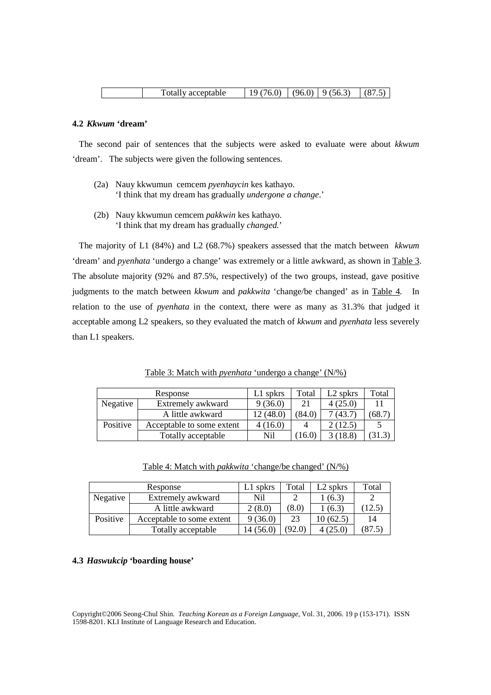#### **4.2** *Kkwum* **'dream'**

 The second pair of sentences that the subjects were asked to evaluate were about *kkwum* 'dream'. The subjects were given the following sentences.

- (2a) Nauy kkwumun cemcem *pyenhaycin* kes kathayo. 'I think that my dream has gradually *undergone a change*.'
- (2b) Nauy kkwumun cemcem *pakkwin* kes kathayo. 'I think that my dream has gradually *changed.*'

 The majority of L1 (84%) and L2 (68.7%) speakers assessed that the match between *kkwum* 'dream' and *pyenhata* 'undergo a change' was extremely or a little awkward, as shown in Table 3. The absolute majority (92% and 87.5%, respectively) of the two groups, instead, gave positive judgments to the match between *kkwum* and *pakkwita* 'change/be changed' as in Table 4. In relation to the use of *pyenhata* in the context, there were as many as 31.3% that judged it acceptable among L2 speakers, so they evaluated the match of *kkwum* and *pyenhata* less severely than L1 speakers.

Table 3: Match with *pyenhata* 'undergo a change' (N/%)

| Response |                           | L1 spkrs  | Total  | L2 spkrs        | Total |
|----------|---------------------------|-----------|--------|-----------------|-------|
| Negative | Extremely awkward         | 9(36.0)   | 21     | 4(25.0)         |       |
|          | A little awkward          | 12 (48.0) | (84.0) | (43.7)          | 68.7  |
| Positive | Acceptable to some extent | 4(16.0)   |        | $\angle (12.5)$ |       |
|          | Totally acceptable        | Nil       | 16.0`  | (18.8)          | 31.3  |

| Table 4: Match with <i>pakkwita</i> 'change/be changed' (N/%) |  |  |  |
|---------------------------------------------------------------|--|--|--|
|---------------------------------------------------------------|--|--|--|

| Response |                           | L1 spkrs | Total  | L2 spkrs  | Total |
|----------|---------------------------|----------|--------|-----------|-------|
| Negative | Extremely awkward         | Nil      |        | (6.3)     |       |
|          | A little awkward          | 2(8.0)   | (8.0)  | (6.3)     | 12.5  |
| Positive | Acceptable to some extent | 9(36.0)  | 23     | 10 (62.5) | 14    |
|          | Totally acceptable        | 4(56.0)  | (92.0) | 4 (25.0)  | 87.5  |

#### **4.3** *Haswukcip* **'boarding house'**

Copyright©2006 Seong-Chul Shin. *Teaching Korean as a Foreign Language*, Vol. 31, 2006. 19 p (153-171). ISSN 1598-8201. KLI Institute of Language Research and Education.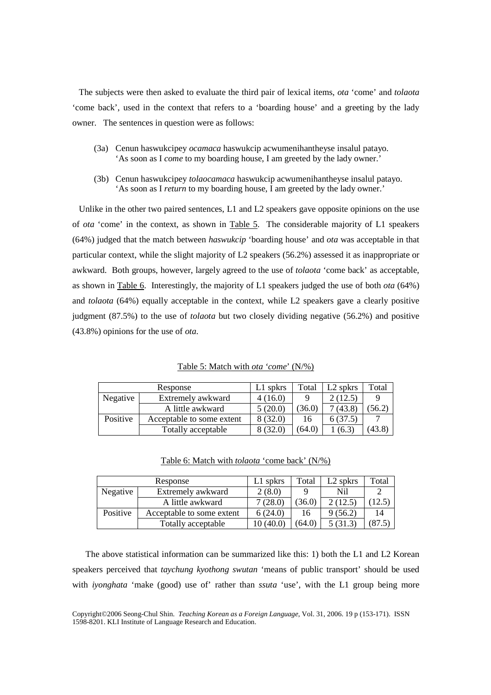The subjects were then asked to evaluate the third pair of lexical items, *ota* 'come' and *tolaota* 'come back', used in the context that refers to a 'boarding house' and a greeting by the lady owner. The sentences in question were as follows:

- (3a) Cenun haswukcipey *ocamaca* haswukcip acwumenihantheyse insalul patayo. 'As soon as I *come* to my boarding house, I am greeted by the lady owner.'
- (3b) Cenun haswukcipey *tolaocamaca* haswukcip acwumenihantheyse insalul patayo. 'As soon as I *return* to my boarding house, I am greeted by the lady owner.'

 Unlike in the other two paired sentences, L1 and L2 speakers gave opposite opinions on the use of *ota* 'come' in the context, as shown in Table 5. The considerable majority of L1 speakers (64%) judged that the match between *haswukcip* 'boarding house' and *ota* was acceptable in that particular context, while the slight majority of L2 speakers (56.2%) assessed it as inappropriate or awkward. Both groups, however, largely agreed to the use of *tolaota* 'come back' as acceptable, as shown in Table 6. Interestingly, the majority of L1 speakers judged the use of both *ota* (64%) and *tolaota* (64%) equally acceptable in the context, while L2 speakers gave a clearly positive judgment (87.5%) to the use of *tolaota* but two closely dividing negative (56.2%) and positive (43.8%) opinions for the use of *ota*.

Table 5: Match with *ota 'come*' (N/%)

|          | Response                  | $L1$ spkrs | Total  | L <sub>2</sub> spkrs | Total  |
|----------|---------------------------|------------|--------|----------------------|--------|
| Negative | Extremely awkward         | 4(16.0)    |        | 2(12.5)              |        |
|          | A little awkward          | 5(20.0)    | (36.0) | 7(43.8)              | (56.2) |
| Positive | Acceptable to some extent | 8(32.0)    | 16     | 6(37.5)              |        |
|          | Totally acceptable        | 8(32.0)    | (64.0) | (6.3)                | (43.8) |

Table 6: Match with *tolaota* 'come back' (N/%)

| Response |                           | L1 spkrs | Total  | L <sub>2</sub> spkrs | Total          |
|----------|---------------------------|----------|--------|----------------------|----------------|
| Negative | Extremely awkward         | 2(8.0)   |        | Nil                  |                |
|          | A little awkward          | (28.0)   | 36.0   | 2(12.5)              | $12.5^{\circ}$ |
| Positive | Acceptable to some extent | 6(24.0)  | 16     | 9(56.2)              | 14             |
|          | Totally acceptable        | 10(40.0) | (64.0) | (31.3)               | (87.5)         |

The above statistical information can be summarized like this: 1) both the L1 and L2 Korean speakers perceived that *taychung kyothong swutan* 'means of public transport' should be used with *iyonghata* 'make (good) use of' rather than *ssuta* 'use', with the L1 group being more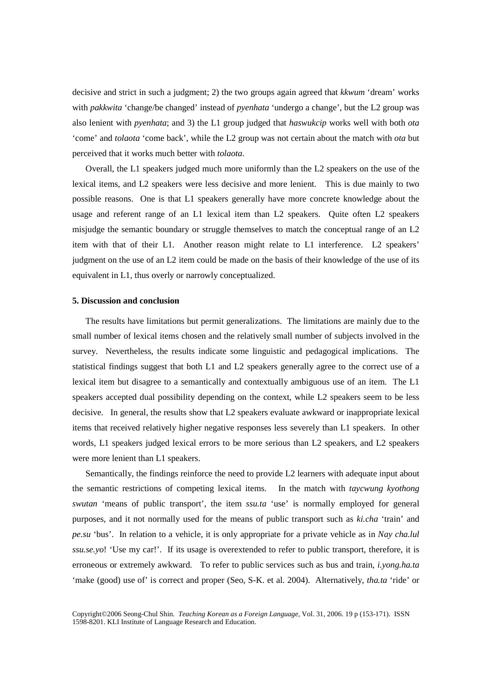decisive and strict in such a judgment; 2) the two groups again agreed that *kkwum* 'dream' works with *pakkwita* 'change/be changed' instead of *pyenhata* 'undergo a change', but the L2 group was also lenient with *pyenhata*; and 3) the L1 group judged that *haswukcip* works well with both *ota* 'come' and *tolaota* 'come back', while the L2 group was not certain about the match with *ota* but perceived that it works much better with *tolaota*.

Overall, the L1 speakers judged much more uniformly than the L2 speakers on the use of the lexical items, and L2 speakers were less decisive and more lenient. This is due mainly to two possible reasons. One is that L1 speakers generally have more concrete knowledge about the usage and referent range of an L1 lexical item than L2 speakers. Quite often L2 speakers misjudge the semantic boundary or struggle themselves to match the conceptual range of an L2 item with that of their L1. Another reason might relate to L1 interference. L2 speakers' judgment on the use of an L2 item could be made on the basis of their knowledge of the use of its equivalent in L1, thus overly or narrowly conceptualized.

#### **5. Discussion and conclusion**

The results have limitations but permit generalizations. The limitations are mainly due to the small number of lexical items chosen and the relatively small number of subjects involved in the survey. Nevertheless, the results indicate some linguistic and pedagogical implications. The statistical findings suggest that both L1 and L2 speakers generally agree to the correct use of a lexical item but disagree to a semantically and contextually ambiguous use of an item. The L1 speakers accepted dual possibility depending on the context, while L2 speakers seem to be less decisive. In general, the results show that L2 speakers evaluate awkward or inappropriate lexical items that received relatively higher negative responses less severely than L1 speakers. In other words, L1 speakers judged lexical errors to be more serious than L2 speakers, and L2 speakers were more lenient than L1 speakers.

Semantically, the findings reinforce the need to provide L2 learners with adequate input about the semantic restrictions of competing lexical items. In the match with *taycwung kyothong swutan* 'means of public transport', the item *ssu.ta* 'use' is normally employed for general purposes, and it not normally used for the means of public transport such as *ki.cha* 'train' and *pe.su* 'bus'. In relation to a vehicle, it is only appropriate for a private vehicle as in *Nay cha.lul ssu.se.yo*! 'Use my car!'. If its usage is overextended to refer to public transport, therefore, it is erroneous or extremely awkward. To refer to public services such as bus and train, *i.yong.ha.ta* 'make (good) use of' is correct and proper (Seo, S-K. et al. 2004). Alternatively, *tha.ta* 'ride' or

Copyright©2006 Seong-Chul Shin. *Teaching Korean as a Foreign Language*, Vol. 31, 2006. 19 p (153-171). ISSN 1598-8201. KLI Institute of Language Research and Education.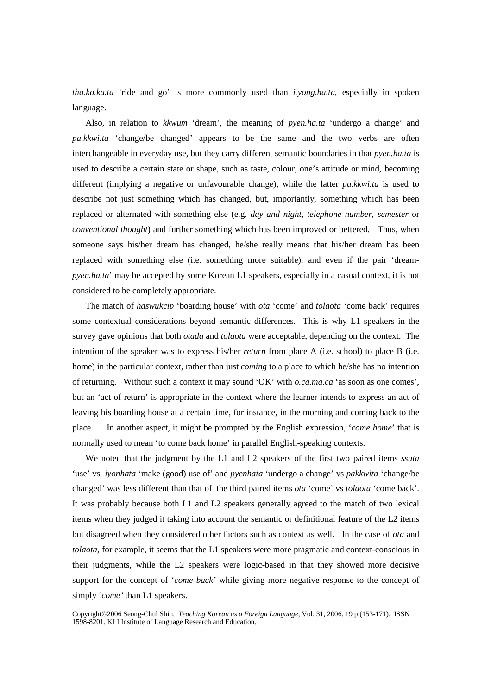*tha.ko.ka.ta* 'ride and go' is more commonly used than *i.yong.ha.ta*, especially in spoken language.

Also, in relation to *kkwum* 'dream', the meaning of *pyen.ha.ta* 'undergo a change' and *pa.kkwi.ta* 'change/be changed' appears to be the same and the two verbs are often interchangeable in everyday use, but they carry different semantic boundaries in that *pyen.ha.ta* is used to describe a certain state or shape, such as taste, colour, one's attitude or mind, becoming different (implying a negative or unfavourable change), while the latter *pa.kkwi.ta* is used to describe not just something which has changed, but, importantly, something which has been replaced or alternated with something else (e.g. *day and night, telephone number, semester* or *conventional thought*) and further something which has been improved or bettered. Thus, when someone says his/her dream has changed, he/she really means that his/her dream has been replaced with something else (i.e. something more suitable), and even if the pair 'dream*pyen.ha.ta*' may be accepted by some Korean L1 speakers, especially in a casual context, it is not considered to be completely appropriate.

The match of *haswukcip* 'boarding house' with *ota* 'come' and *tolaota* 'come back' requires some contextual considerations beyond semantic differences. This is why L1 speakers in the survey gave opinions that both *otada* and *tolaota* were acceptable, depending on the context. The intention of the speaker was to express his/her *return* from place A (i.e. school) to place B (i.e. home) in the particular context, rather than just *coming* to a place to which he/she has no intention of returning. Without such a context it may sound 'OK' with *o.ca.ma.ca* 'as soon as one comes', but an 'act of return' is appropriate in the context where the learner intends to express an act of leaving his boarding house at a certain time, for instance, in the morning and coming back to the place. In another aspect, it might be prompted by the English expression, '*come home*' that is normally used to mean 'to come back home' in parallel English-speaking contexts.

We noted that the judgment by the L1 and L2 speakers of the first two paired items *ssuta* 'use' vs *iyonhata* 'make (good) use of' and *pyenhata* 'undergo a change' vs *pakkwita* 'change/be changed' was less different than that of the third paired items *ota* 'come' vs *tolaota* 'come back'. It was probably because both L1 and L2 speakers generally agreed to the match of two lexical items when they judged it taking into account the semantic or definitional feature of the L2 items but disagreed when they considered other factors such as context as well. In the case of *ota* and *tolaota*, for example, it seems that the L1 speakers were more pragmatic and context-conscious in their judgments, while the L2 speakers were logic-based in that they showed more decisive support for the concept of '*come back'* while giving more negative response to the concept of simply '*come'* than L1 speakers.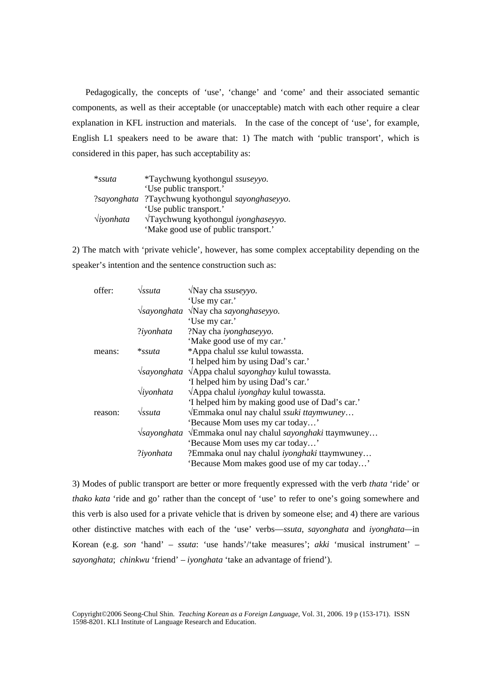Pedagogically, the concepts of 'use', 'change' and 'come' and their associated semantic components, as well as their acceptable (or unacceptable) match with each other require a clear explanation in KFL instruction and materials. In the case of the concept of 'use', for example, English L1 speakers need to be aware that: 1) The match with 'public transport', which is considered in this paper, has such acceptability as:

| $*ssuta$           | *Taychwung kyothongul ssuseyyo.      |
|--------------------|--------------------------------------|
|                    | 'Use public transport.'              |
| ?sayonghata        | ?Taychwung kyothongul sayonghaseyyo. |
|                    | 'Use public transport.'              |
| $\forall$ iyonhata | √Taychwung kyothongul iyonghaseyyo.  |
|                    | 'Make good use of public transport.' |

2) The match with 'private vehicle', however, has some complex acceptability depending on the speaker's intention and the sentence construction such as:

| offer:  | $\sqrt{s}s$ uta    | $\sqrt{N}$ ay cha ssuseyyo.                                                 |
|---------|--------------------|-----------------------------------------------------------------------------|
|         |                    | 'Use my car.'                                                               |
|         |                    | $\sqrt{s}$ ayonghata $\sqrt{s}$ Nay cha sayonghaseyyo.                      |
|         |                    | 'Use my car.'                                                               |
|         | ?iyonhata          | ?Nay cha iyonghaseyyo.                                                      |
|         |                    | 'Make good use of my car.'                                                  |
| means:  | *ssuta             | *Appa chalul sse kulul towassta.                                            |
|         |                    | 'I helped him by using Dad's car.'                                          |
|         |                    | $\sqrt{s}$ ayonghata $\sqrt{\text{App}}$ a chalul sayonghay kulul towassta. |
|         |                    | 'I helped him by using Dad's car.'                                          |
|         | $\forall$ iyonhata | $\sqrt{\text{Appa}}$ chalul <i>iyonghay</i> kulul towassta.                 |
|         |                    | 'I helped him by making good use of Dad's car.'                             |
| reason: | $\sqrt{s}s$ uta    | VEmmaka onul nay chalul ssuki ttaymwuney                                    |
|         |                    | 'Because Mom uses my car today'                                             |
|         |                    | √sayonghata √Emmaka onul nay chalul sayonghaki ttaymwuney                   |
|         |                    | 'Because Mom uses my car today'                                             |
|         | ?iyonhata          | ?Emmaka onul nay chalul <i>iyonghaki</i> ttaymwuney                         |
|         |                    | 'Because Mom makes good use of my car today'                                |

3) Modes of public transport are better or more frequently expressed with the verb *thata* 'ride' or *thako kata* 'ride and go' rather than the concept of 'use' to refer to one's going somewhere and this verb is also used for a private vehicle that is driven by someone else; and 4) there are various other distinctive matches with each of the 'use' verbs—*ssuta*, *sayonghata* and *iyonghata—*in Korean (e.g. *son* 'hand' – *ssuta*: 'use hands'/'take measures'; *akki* 'musical instrument' – *sayonghata*; *chinkwu* 'friend' – *iyonghata* 'take an advantage of friend').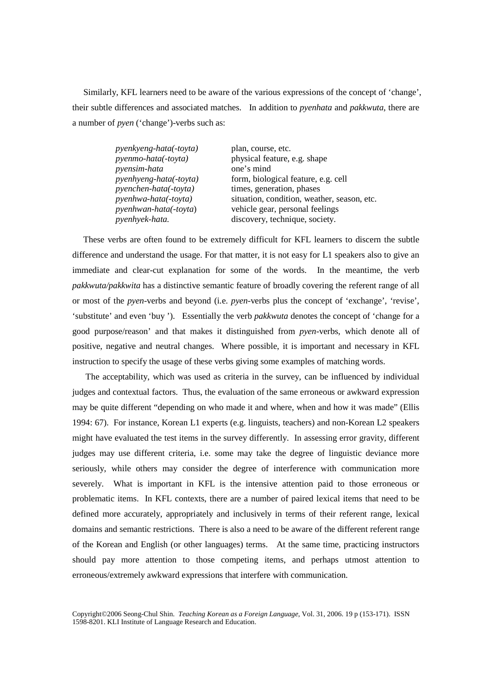Similarly, KFL learners need to be aware of the various expressions of the concept of 'change', their subtle differences and associated matches. In addition to *pyenhata* and *pakkwuta*, there are a number of *pyen* ('change')-verbs such as:

| <i>pyenkyeng-hata(-toyta)</i> | plan, course, etc.                          |
|-------------------------------|---------------------------------------------|
| pyenmo-hata(-toyta)           | physical feature, e.g. shape                |
| pyensim-hata                  | one's mind                                  |
| pyenhyeng-hata(-toyta)        | form, biological feature, e.g. cell         |
| pyenchen-hata(-toyta)         | times, generation, phases                   |
| pyenhwa-hata(-toyta)          | situation, condition, weather, season, etc. |
| pyenhwan-hata(-toyta)         | vehicle gear, personal feelings             |
| pyenhyek-hata.                | discovery, technique, society.              |

 These verbs are often found to be extremely difficult for KFL learners to discern the subtle difference and understand the usage. For that matter, it is not easy for L1 speakers also to give an immediate and clear-cut explanation for some of the words. In the meantime, the verb *pakkwuta/pakkwita* has a distinctive semantic feature of broadly covering the referent range of all or most of the *pyen*-verbs and beyond (i.e. *pyen*-verbs plus the concept of 'exchange', 'revise', 'substitute' and even 'buy '). Essentially the verb *pakkwuta* denotes the concept of 'change for a good purpose/reason' and that makes it distinguished from *pyen*-verbs, which denote all of positive, negative and neutral changes. Where possible, it is important and necessary in KFL instruction to specify the usage of these verbs giving some examples of matching words.

The acceptability, which was used as criteria in the survey, can be influenced by individual judges and contextual factors. Thus, the evaluation of the same erroneous or awkward expression may be quite different "depending on who made it and where, when and how it was made" (Ellis 1994: 67). For instance, Korean L1 experts (e.g. linguists, teachers) and non-Korean L2 speakers might have evaluated the test items in the survey differently. In assessing error gravity, different judges may use different criteria, i.e. some may take the degree of linguistic deviance more seriously, while others may consider the degree of interference with communication more severely. What is important in KFL is the intensive attention paid to those erroneous or problematic items. In KFL contexts, there are a number of paired lexical items that need to be defined more accurately, appropriately and inclusively in terms of their referent range, lexical domains and semantic restrictions. There is also a need to be aware of the different referent range of the Korean and English (or other languages) terms. At the same time, practicing instructors should pay more attention to those competing items, and perhaps utmost attention to erroneous/extremely awkward expressions that interfere with communication.

Copyright©2006 Seong-Chul Shin. *Teaching Korean as a Foreign Language*, Vol. 31, 2006. 19 p (153-171). ISSN 1598-8201. KLI Institute of Language Research and Education.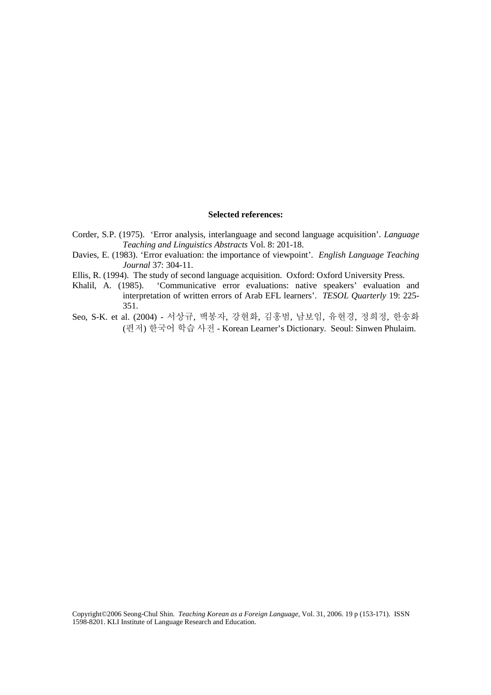#### **Selected references:**

- Corder, S.P. (1975). 'Error analysis, interlanguage and second language acquisition'. *Language Teaching and Linguistics Abstracts* Vol. 8: 201-18.
- Davies, E. (1983). 'Error evaluation: the importance of viewpoint'. *English Language Teaching Journal* 37: 304-11.
- Ellis, R. (1994). The study of second language acquisition. Oxford: Oxford University Press.
- Khalil, A. (1985). 'Communicative error evaluations: native speakers' evaluation and interpretation of written errors of Arab EFL learners'. *TESOL Quarterly* 19: 225- 351.
- Seo, S-K. et al. (2004) 서상규, 백봉자, 강현화, 김홍범, 남보임, 유현경, 정희정, 한송화 (편저) 한국어 학습 사전 - Korean Learner's Dictionary. Seoul: Sinwen Phulaim.